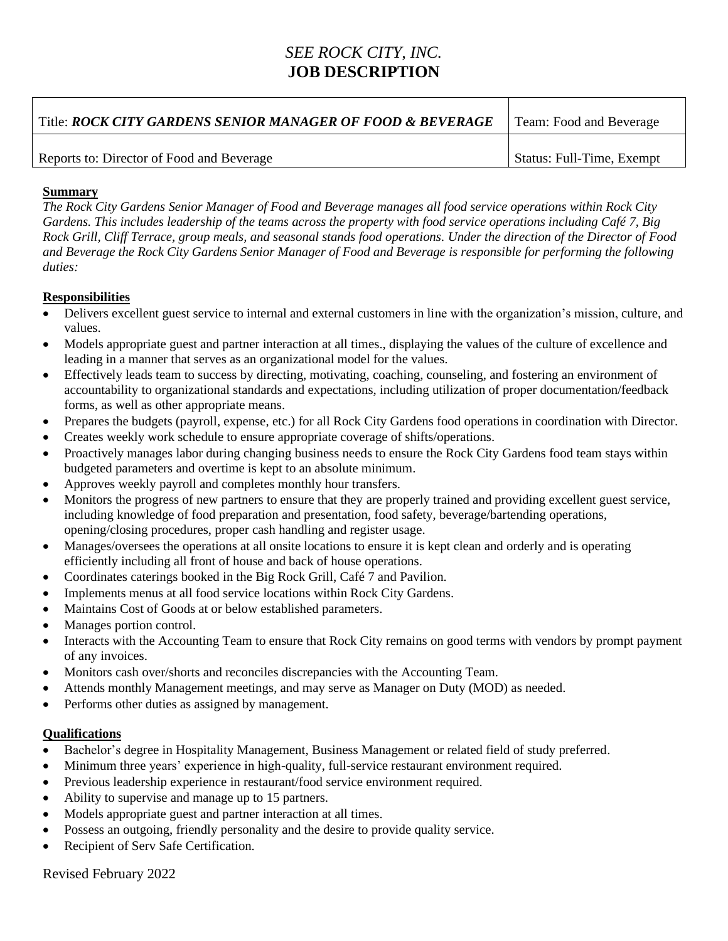## *SEE ROCK CITY, INC.* **JOB DESCRIPTION**

| Title: ROCK CITY GARDENS SENIOR MANAGER OF FOOD & BEVERAGE | Team: Food and Beverage   |
|------------------------------------------------------------|---------------------------|
| Reports to: Director of Food and Beverage                  | Status: Full-Time, Exempt |

## **Summary**

*The Rock City Gardens Senior Manager of Food and Beverage manages all food service operations within Rock City Gardens. This includes leadership of the teams across the property with food service operations including Café 7, Big Rock Grill, Cliff Terrace, group meals, and seasonal stands food operations. Under the direction of the Director of Food and Beverage the Rock City Gardens Senior Manager of Food and Beverage is responsible for performing the following duties:*

## **Responsibilities**

- Delivers excellent guest service to internal and external customers in line with the organization's mission, culture, and values.
- Models appropriate guest and partner interaction at all times., displaying the values of the culture of excellence and leading in a manner that serves as an organizational model for the values.
- Effectively leads team to success by directing, motivating, coaching, counseling, and fostering an environment of accountability to organizational standards and expectations, including utilization of proper documentation/feedback forms, as well as other appropriate means.
- Prepares the budgets (payroll, expense, etc.) for all Rock City Gardens food operations in coordination with Director.
- Creates weekly work schedule to ensure appropriate coverage of shifts/operations.
- Proactively manages labor during changing business needs to ensure the Rock City Gardens food team stays within budgeted parameters and overtime is kept to an absolute minimum.
- Approves weekly payroll and completes monthly hour transfers.
- Monitors the progress of new partners to ensure that they are properly trained and providing excellent guest service, including knowledge of food preparation and presentation, food safety, beverage/bartending operations, opening/closing procedures, proper cash handling and register usage.
- Manages/oversees the operations at all onsite locations to ensure it is kept clean and orderly and is operating efficiently including all front of house and back of house operations.
- Coordinates caterings booked in the Big Rock Grill, Café 7 and Pavilion.
- Implements menus at all food service locations within Rock City Gardens.
- Maintains Cost of Goods at or below established parameters.
- Manages portion control.
- Interacts with the Accounting Team to ensure that Rock City remains on good terms with vendors by prompt payment of any invoices.
- Monitors cash over/shorts and reconciles discrepancies with the Accounting Team.
- Attends monthly Management meetings, and may serve as Manager on Duty (MOD) as needed.
- Performs other duties as assigned by management.

## **Qualifications**

- Bachelor's degree in Hospitality Management, Business Management or related field of study preferred.
- Minimum three years' experience in high-quality, full-service restaurant environment required.
- Previous leadership experience in restaurant/food service environment required.
- Ability to supervise and manage up to 15 partners.
- Models appropriate guest and partner interaction at all times.
- Possess an outgoing, friendly personality and the desire to provide quality service.
- Recipient of Serv Safe Certification.

Revised February 2022